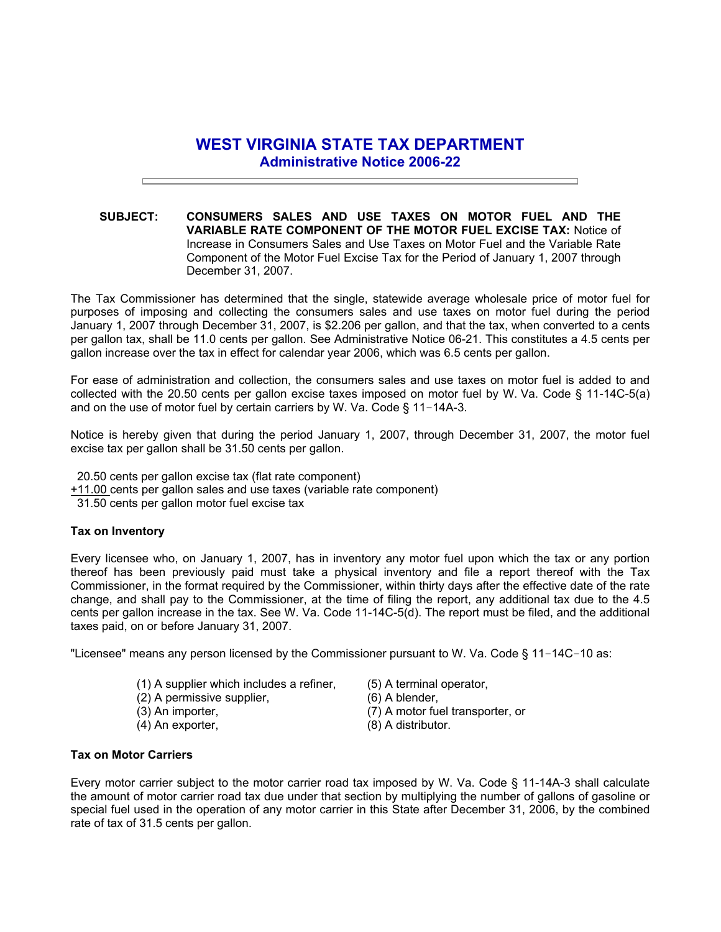## **WEST VIRGINIA STATE TAX DEPARTMENT Administrative Notice 2006-22**

**SUBJECT: CONSUMERS SALES AND USE TAXES ON MOTOR FUEL AND THE VARIABLE RATE COMPONENT OF THE MOTOR FUEL EXCISE TAX:** Notice of Increase in Consumers Sales and Use Taxes on Motor Fuel and the Variable Rate Component of the Motor Fuel Excise Tax for the Period of January 1, 2007 through December 31, 2007.

The Tax Commissioner has determined that the single, statewide average wholesale price of motor fuel for purposes of imposing and collecting the consumers sales and use taxes on motor fuel during the period January 1, 2007 through December 31, 2007, is \$2.206 per gallon, and that the tax, when converted to a cents per gallon tax, shall be 11.0 cents per gallon. See Administrative Notice 06-21. This constitutes a 4.5 cents per gallon increase over the tax in effect for calendar year 2006, which was 6.5 cents per gallon.

For ease of administration and collection, the consumers sales and use taxes on motor fuel is added to and collected with the 20.50 cents per gallon excise taxes imposed on motor fuel by W. Va. Code § 11-14C-5(a) and on the use of motor fuel by certain carriers by W. Va. Code § 11-14A-3.

Notice is hereby given that during the period January 1, 2007, through December 31, 2007, the motor fuel excise tax per gallon shall be 31.50 cents per gallon.

- 20.50 cents per gallon excise tax (flat rate component)
- +11.00 cents per gallon sales and use taxes (variable rate component)
- 31.50 cents per gallon motor fuel excise tax

## **Tax on Inventory**

Every licensee who, on January 1, 2007, has in inventory any motor fuel upon which the tax or any portion thereof has been previously paid must take a physical inventory and file a report thereof with the Tax Commissioner, in the format required by the Commissioner, within thirty days after the effective date of the rate change, and shall pay to the Commissioner, at the time of filing the report, any additional tax due to the 4.5 cents per gallon increase in the tax. See W. Va. Code 11-14C-5(d). The report must be filed, and the additional taxes paid, on or before January 31, 2007.

"Licensee" means any person licensed by the Commissioner pursuant to W. Va. Code § 11-14C-10 as:

- (1) A supplier which includes a refiner, (2) A permissive supplier,
- (3) An importer,
- (4) An exporter,
- (5) A terminal operator,
- (6) A blender,
- (7) A motor fuel transporter, or
- (8) A distributor.

## **Tax on Motor Carriers**

Every motor carrier subject to the motor carrier road tax imposed by W. Va. Code § 11-14A-3 shall calculate the amount of motor carrier road tax due under that section by multiplying the number of gallons of gasoline or special fuel used in the operation of any motor carrier in this State after December 31, 2006, by the combined rate of tax of 31.5 cents per gallon.